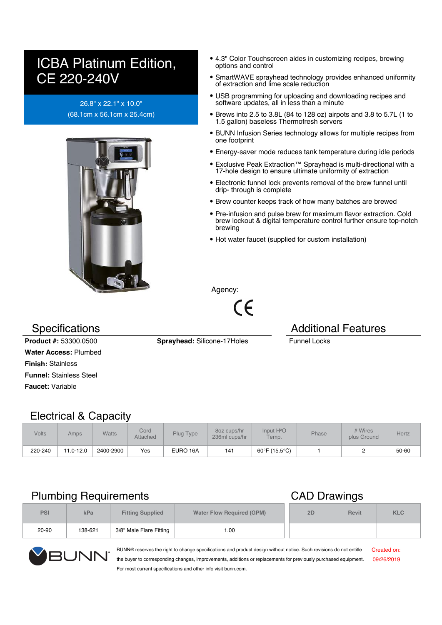# ICBA Platinum Edition, CE 220-240V

### 26.8" x 22.1" x 10.0" (68.1cm x 56.1cm x 25.4cm)



- 4.3" Color Touchscreen aides in customizing recipes, brewing options and control
- SmartWAVE sprayhead technology provides enhanced uniformity of extraction and lime scale reduction
- USB programming for uploading and downloading recipes and software updates, all in less than a minute
- Brews into 2.5 to 3.8L (84 to 128 oz) airpots and 3.8 to 5.7L (1 to 1.5 gallon) baseless Thermofresh servers
- BUNN Infusion Series technology allows for multiple recipes from one footprint
- Energy-saver mode reduces tank temperature during idle periods
- Exclusive Peak Extraction™ Sprayhead is multi-directional with a 17-hole design to ensure ultimate uniformity of extraction
- Electronic funnel lock prevents removal of the brew funnel until drip- through is complete
- Brew counter keeps track of how many batches are brewed
- Pre-infusion and pulse brew for maximum flavor extraction. Cold brew lockout & digital temperature control further ensure top-notch brewing
- Hot water faucet (supplied for custom installation)

Agency:

 $\epsilon$ 

### Specifications **Additional Features** Additional Features

**Product #:** 53300.0500 **Sprayhead:** Silicone-17Holes Funnel Locks **Water Access:** Plumbed **Finish:** Stainless **Funnel:** Stainless Steel **Faucet:** Variable

### Electrical & Capacity

| <b>Volts</b> | Amps      | <b>Watts</b> | Cord<br><b>Attached</b> | Plug Type | 80z cups/hr<br>236ml cups/hr | Input H <sup>2</sup> O<br>Temp. | Phase | # Wires<br>plus Ground | Hertz |
|--------------|-----------|--------------|-------------------------|-----------|------------------------------|---------------------------------|-------|------------------------|-------|
| 220-240      | 11.0-12.0 | 2400-2900    | Yes                     | EURO 16A  | 141                          | 60°F (15.5°C)                   |       |                        | 50-60 |

### Plumbing Requirements **CAD** Drawings

| <b>PSI</b> | kPa     | <b>Fitting Supplied</b> | <b>Water Flow Required (GPM)</b> | 2D | <b>Revit</b> | <b>KLC</b> |
|------------|---------|-------------------------|----------------------------------|----|--------------|------------|
| 20-90      | 138-621 | 3/8" Male Flare Fitting | 1.00                             |    |              |            |



BUNN® reserves the right to change specifications and product design without notice. Such revisions do not entitle the buyer to corresponding changes, improvements, additions or replacements for previously purchased equipment. For most current specifications and other info visit bunn.com. Created on: 09/26/2019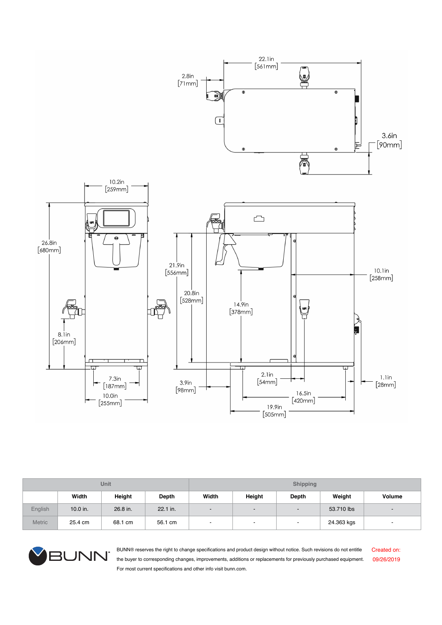

| Unit          |            |          |            | <b>Shipping</b>          |                          |                          |            |                          |
|---------------|------------|----------|------------|--------------------------|--------------------------|--------------------------|------------|--------------------------|
|               | Width      | Height   | Depth      | Width                    | Height                   | Depth                    | Weight     | <b>Volume</b>            |
| English       | $10.0$ in. | 26.8 in. | $22.1$ in. | $\overline{\phantom{a}}$ | $\overline{\phantom{a}}$ |                          | 53.710 lbs | $\overline{\phantom{a}}$ |
| <b>Metric</b> | 25.4 cm    | 68.1 cm  | 56.1 cm    | $\,$                     | $\,$                     | $\overline{\phantom{a}}$ | 24.363 kgs | $\overline{\phantom{a}}$ |



BUNN® reserves the right to change specifications and product design without notice. Such revisions do not entitle the buyer to corresponding changes, improvements, additions or replacements for previously purchased equipment. For most current specifications and other info visit bunn.com.

Created on: 09/26/2019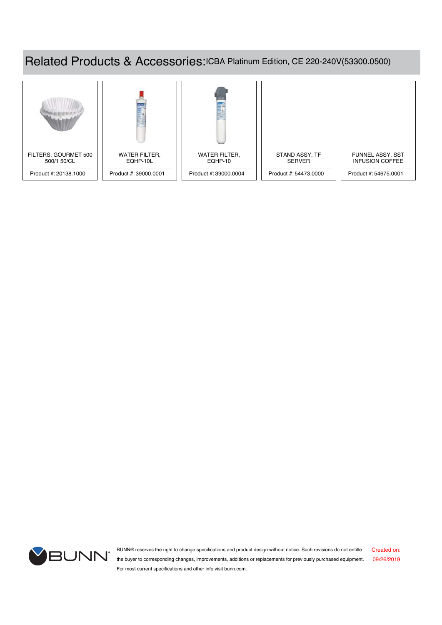## Related Products & Accessories:ICBA Platinum Edition, CE 220-240V(53300.0500)





BUNN® reserves the right to change specifications and product design without notice. Such revisions do not entitle the buyer to corresponding changes, improvements, additions or replacements for previously purchased equipment. 09/26/2019 For most current specifications and other info visit bunn.com. Created on: